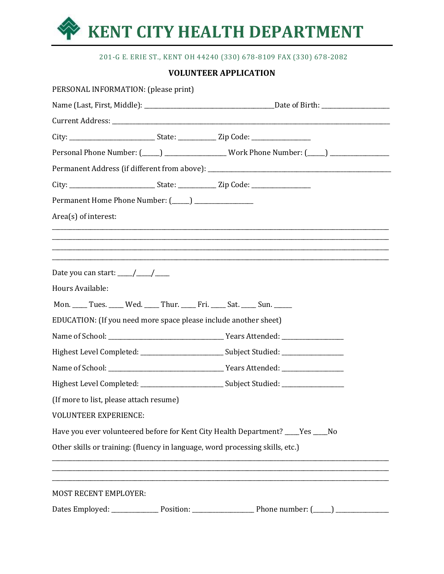

## 201-G E. ERIE ST., KENT OH 44240 (330) 678-8109 FAX (330) 678-2082

# **VOLUNTEER APPLICATION**

| PERSONAL INFORMATION: (please print)                                                                |                                                                                                                                                                      |  |  |
|-----------------------------------------------------------------------------------------------------|----------------------------------------------------------------------------------------------------------------------------------------------------------------------|--|--|
|                                                                                                     |                                                                                                                                                                      |  |  |
|                                                                                                     |                                                                                                                                                                      |  |  |
|                                                                                                     |                                                                                                                                                                      |  |  |
|                                                                                                     | Personal Phone Number: (____) __________________Work Phone Number: (____) ______________                                                                             |  |  |
|                                                                                                     |                                                                                                                                                                      |  |  |
|                                                                                                     |                                                                                                                                                                      |  |  |
| Permanent Home Phone Number: (____) _________________                                               |                                                                                                                                                                      |  |  |
| Area(s) of interest:                                                                                |                                                                                                                                                                      |  |  |
|                                                                                                     | ,我们也不会有什么。""我们的人,我们也不会有什么?""我们的人,我们也不会有什么?""我们的人,我们也不会有什么?""我们的人,我们也不会有什么?""我们的人<br>,我们也不会有什么。""我们的人,我们也不会有什么?""我们的人,我们也不会有什么?""我们的人,我们也不会有什么?""我们的人,我们也不会有什么?""我们的人 |  |  |
|                                                                                                     |                                                                                                                                                                      |  |  |
|                                                                                                     |                                                                                                                                                                      |  |  |
| Date you can start: $\frac{\sqrt{2}}{2}$                                                            |                                                                                                                                                                      |  |  |
| Hours Available:                                                                                    |                                                                                                                                                                      |  |  |
| Mon. ____ Tues. ____ Wed. ____ Thur. ____ Fri. ____ Sat. ____ Sun. ____                             |                                                                                                                                                                      |  |  |
| EDUCATION: (If you need more space please include another sheet)                                    |                                                                                                                                                                      |  |  |
|                                                                                                     |                                                                                                                                                                      |  |  |
| Highest Level Completed: _____________________________Subject Studied: ____________________________ |                                                                                                                                                                      |  |  |
|                                                                                                     |                                                                                                                                                                      |  |  |
| Highest Level Completed: _______________________________Subject Studied: __________________________ |                                                                                                                                                                      |  |  |
| (If more to list, please attach resume)                                                             |                                                                                                                                                                      |  |  |
| <b>VOLUNTEER EXPERIENCE:</b>                                                                        |                                                                                                                                                                      |  |  |
| Have you ever volunteered before for Kent City Health Department? ____Yes ____No                    |                                                                                                                                                                      |  |  |
| Other skills or training: (fluency in language, word processing skills, etc.)                       |                                                                                                                                                                      |  |  |
|                                                                                                     |                                                                                                                                                                      |  |  |
|                                                                                                     |                                                                                                                                                                      |  |  |
| <b>MOST RECENT EMPLOYER:</b>                                                                        |                                                                                                                                                                      |  |  |
|                                                                                                     |                                                                                                                                                                      |  |  |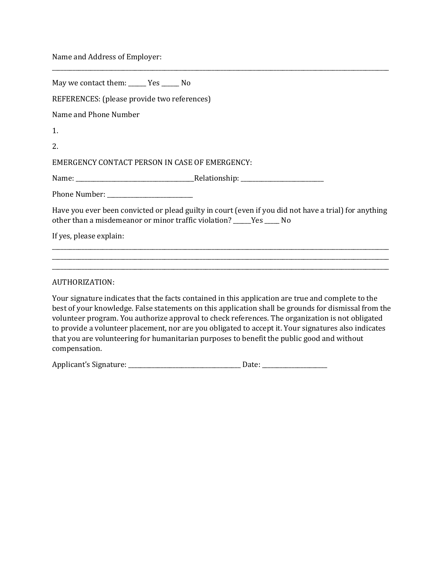Name and Address of Employer:

compensation.

| May we contact them: ______ Yes ______ No                                                                                                                                                                                                                                                                                                                                                                                                                                                                            |  |  |  |  |
|----------------------------------------------------------------------------------------------------------------------------------------------------------------------------------------------------------------------------------------------------------------------------------------------------------------------------------------------------------------------------------------------------------------------------------------------------------------------------------------------------------------------|--|--|--|--|
| REFERENCES: (please provide two references)                                                                                                                                                                                                                                                                                                                                                                                                                                                                          |  |  |  |  |
| Name and Phone Number                                                                                                                                                                                                                                                                                                                                                                                                                                                                                                |  |  |  |  |
| 1.                                                                                                                                                                                                                                                                                                                                                                                                                                                                                                                   |  |  |  |  |
| 2.                                                                                                                                                                                                                                                                                                                                                                                                                                                                                                                   |  |  |  |  |
| <b>EMERGENCY CONTACT PERSON IN CASE OF EMERGENCY:</b>                                                                                                                                                                                                                                                                                                                                                                                                                                                                |  |  |  |  |
|                                                                                                                                                                                                                                                                                                                                                                                                                                                                                                                      |  |  |  |  |
|                                                                                                                                                                                                                                                                                                                                                                                                                                                                                                                      |  |  |  |  |
| Have you ever been convicted or plead guilty in court (even if you did not have a trial) for anything<br>other than a misdemeanor or minor traffic violation? _____Yes ____ No                                                                                                                                                                                                                                                                                                                                       |  |  |  |  |
| If yes, please explain:                                                                                                                                                                                                                                                                                                                                                                                                                                                                                              |  |  |  |  |
|                                                                                                                                                                                                                                                                                                                                                                                                                                                                                                                      |  |  |  |  |
| AUTHORIZATION:                                                                                                                                                                                                                                                                                                                                                                                                                                                                                                       |  |  |  |  |
| Your signature indicates that the facts contained in this application are true and complete to the<br>best of your knowledge. False statements on this application shall be grounds for dismissal from the<br>volunteer program. You authorize approval to check references. The organization is not obligated<br>to provide a volunteer placement, nor are you obligated to accept it. Your signatures also indicates<br>that you are volunteering for humanitarian purposes to benefit the public good and without |  |  |  |  |

\_\_\_\_\_\_\_\_\_\_\_\_\_\_\_\_\_\_\_\_\_\_\_\_\_\_\_\_\_\_\_\_\_\_\_\_\_\_\_\_\_\_\_\_\_\_\_\_\_\_\_\_\_\_\_\_\_\_\_\_\_\_\_\_\_\_\_\_\_\_\_\_\_\_\_\_\_\_\_\_\_\_\_\_\_\_\_\_\_\_\_\_\_\_\_\_\_\_\_\_\_\_\_\_\_\_\_\_\_\_\_\_\_\_

| Applicant's Signature: |  |
|------------------------|--|
|                        |  |
|                        |  |
|                        |  |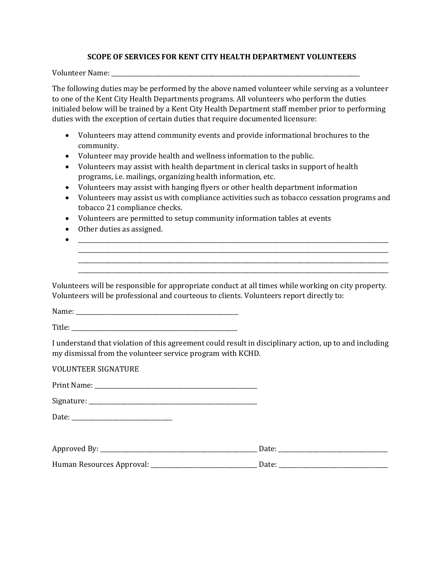### **SCOPE OF SERVICES FOR KENT CITY HEALTH DEPARTMENT VOLUNTEERS**

Volunteer Name: \_\_\_\_\_\_\_\_\_\_\_\_\_\_\_\_\_\_\_\_\_\_\_\_\_\_\_\_\_\_\_\_\_\_\_\_\_\_\_\_\_\_\_\_\_\_\_\_\_\_\_\_\_\_\_\_\_\_\_\_\_\_\_\_\_\_\_\_\_\_\_\_\_\_\_\_\_\_\_\_\_\_\_\_

The following duties may be performed by the above named volunteer while serving as a volunteer to one of the Kent City Health Departments programs. All volunteers who perform the duties initialed below will be trained by a Kent City Health Department staff member prior to performing duties with the exception of certain duties that require documented licensure:

- Volunteers may attend community events and provide informational brochures to the community.
- Volunteer may provide health and wellness information to the public.
- Volunteers may assist with health department in clerical tasks in support of health programs, i.e. mailings, organizing health information, etc.
- Volunteers may assist with hanging flyers or other health department information
- Volunteers may assist us with compliance activities such as tobacco cessation programs and tobacco 21 compliance checks.

 $\bullet$   $\hspace{0.2cm}$   $\hspace{0.2cm}$   $\hspace{0.2cm}$   $\hspace{0.2cm}$   $\hspace{0.2cm}$   $\hspace{0.2cm}$   $\hspace{0.2cm}$   $\hspace{0.2cm}$   $\hspace{0.2cm}$   $\hspace{0.2cm}$   $\hspace{0.2cm}$   $\hspace{0.2cm}$   $\hspace{0.2cm}$   $\hspace{0.2cm}$   $\hspace{0.2cm}$   $\hspace{0.2cm}$   $\hspace{0.2cm}$   $\hspace{0.2cm}$  \_\_\_\_\_\_\_\_\_\_\_\_\_\_\_\_\_\_\_\_\_\_\_\_\_\_\_\_\_\_\_\_\_\_\_\_\_\_\_\_\_\_\_\_\_\_\_\_\_\_\_\_\_\_\_\_\_\_\_\_\_\_\_\_\_\_\_\_\_\_\_\_\_\_\_\_\_\_\_\_\_\_\_\_\_\_\_\_\_\_\_\_\_\_\_\_\_\_\_\_\_\_\_\_\_ \_\_\_\_\_\_\_\_\_\_\_\_\_\_\_\_\_\_\_\_\_\_\_\_\_\_\_\_\_\_\_\_\_\_\_\_\_\_\_\_\_\_\_\_\_\_\_\_\_\_\_\_\_\_\_\_\_\_\_\_\_\_\_\_\_\_\_\_\_\_\_\_\_\_\_\_\_\_\_\_\_\_\_\_\_\_\_\_\_\_\_\_\_\_\_\_\_\_\_\_\_\_\_\_\_ \_\_\_\_\_\_\_\_\_\_\_\_\_\_\_\_\_\_\_\_\_\_\_\_\_\_\_\_\_\_\_\_\_\_\_\_\_\_\_\_\_\_\_\_\_\_\_\_\_\_\_\_\_\_\_\_\_\_\_\_\_\_\_\_\_\_\_\_\_\_\_\_\_\_\_\_\_\_\_\_\_\_\_\_\_\_\_\_\_\_\_\_\_\_\_\_\_\_\_\_\_\_\_\_\_

- Volunteers are permitted to setup community information tables at events
- Other duties as assigned.
- Volunteers will be responsible for appropriate conduct at all times while working on city property. Volunteers will be professional and courteous to clients. Volunteers report directly to:

Name:

Title:

I understand that violation of this agreement could result in disciplinary action, up to and including my dismissal from the volunteer service program with KCHD.

VOLUNTEER SIGNATURE

| Print Name: |  |
|-------------|--|
|             |  |

Signature: \_\_\_\_\_\_\_\_\_\_\_\_\_\_\_\_\_\_\_\_\_\_\_\_\_\_\_\_\_\_\_\_\_\_\_\_\_\_\_\_\_\_\_\_\_\_\_\_\_\_\_\_\_\_\_\_\_

Date: \_\_\_\_\_\_\_\_\_\_\_\_\_\_\_\_\_\_\_\_\_\_\_\_\_\_\_\_\_\_\_\_\_\_

| Approved By:              | Date: |  |
|---------------------------|-------|--|
| Human Resources Approval: | Date: |  |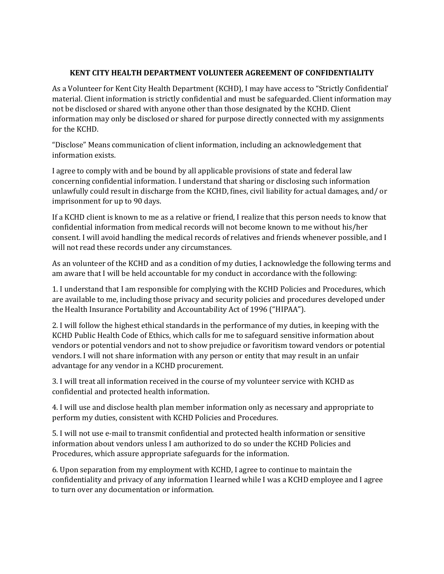## **KENT CITY HEALTH DEPARTMENT VOLUNTEER AGREEMENT OF CONFIDENTIALITY**

As a Volunteer for Kent City Health Department (KCHD), I may have access to "Strictly Confidential' material. Client information is strictly confidential and must be safeguarded. Client information may not be disclosed or shared with anyone other than those designated by the KCHD. Client information may only be disclosed or shared for purpose directly connected with my assignments for the KCHD.

"Disclose" Means communication of client information, including an acknowledgement that information exists.

I agree to comply with and be bound by all applicable provisions of state and federal law concerning confidential information. I understand that sharing or disclosing such information unlawfully could result in discharge from the KCHD, fines, civil liability for actual damages, and/ or imprisonment for up to 90 days.

If a KCHD client is known to me as a relative or friend, I realize that this person needs to know that confidential information from medical records will not become known to me without his/her consent. I will avoid handling the medical records of relatives and friends whenever possible, and I will not read these records under any circumstances.

As an volunteer of the KCHD and as a condition of my duties, I acknowledge the following terms and am aware that I will be held accountable for my conduct in accordance with the following:

1. I understand that I am responsible for complying with the KCHD Policies and Procedures, which are available to me, including those privacy and security policies and procedures developed under the Health Insurance Portability and Accountability Act of 1996 ("HIPAA").

2. I will follow the highest ethical standards in the performance of my duties, in keeping with the KCHD Public Health Code of Ethics, which calls for me to safeguard sensitive information about vendors or potential vendors and not to show prejudice or favoritism toward vendors or potential vendors. I will not share information with any person or entity that may result in an unfair advantage for any vendor in a KCHD procurement.

3. I will treat all information received in the course of my volunteer service with KCHD as confidential and protected health information.

4. I will use and disclose health plan member information only as necessary and appropriate to perform my duties, consistent with KCHD Policies and Procedures.

5. I will not use e-mail to transmit confidential and protected health information or sensitive information about vendors unless I am authorized to do so under the KCHD Policies and Procedures, which assure appropriate safeguards for the information.

6. Upon separation from my employment with KCHD, I agree to continue to maintain the confidentiality and privacy of any information I learned while I was a KCHD employee and I agree to turn over any documentation or information.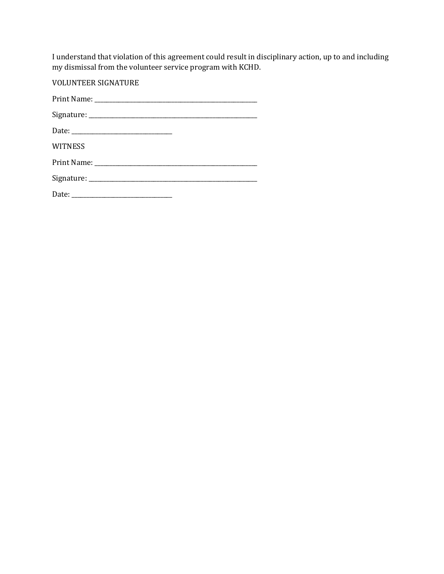I understand that violation of this agreement could result in disciplinary action, up to and including my dismissal from the volunteer service program with KCHD.

VOLUNTEER SIGNATURE Print Name: \_\_\_\_\_\_\_\_\_\_\_\_\_\_\_\_\_\_\_\_\_\_\_\_\_\_\_\_\_\_\_\_\_\_\_\_\_\_\_\_\_\_\_\_\_\_\_\_\_\_\_\_\_\_\_ Signature: \_\_\_\_\_\_\_\_\_\_\_\_\_\_\_\_\_\_\_\_\_\_\_\_\_\_\_\_\_\_\_\_\_\_\_\_\_\_\_\_\_\_\_\_\_\_\_\_\_\_\_\_\_\_\_\_\_ Date: \_\_\_\_\_\_\_\_\_\_\_\_\_\_\_\_\_\_\_\_\_\_\_\_\_\_\_\_\_\_\_\_\_\_ WITNESS Print Name: \_\_\_\_\_\_\_\_\_\_\_\_\_\_\_\_\_\_\_\_\_\_\_\_\_\_\_\_\_\_\_\_\_\_\_\_\_\_\_\_\_\_\_\_\_\_\_\_\_\_\_\_\_\_\_ Signature: \_\_\_\_\_\_\_\_\_\_\_\_\_\_\_\_\_\_\_\_\_\_\_\_\_\_\_\_\_\_\_\_\_\_\_\_\_\_\_\_\_\_\_\_\_\_\_\_\_\_\_\_\_\_\_\_\_ Date: \_\_\_\_\_\_\_\_\_\_\_\_\_\_\_\_\_\_\_\_\_\_\_\_\_\_\_\_\_\_\_\_\_\_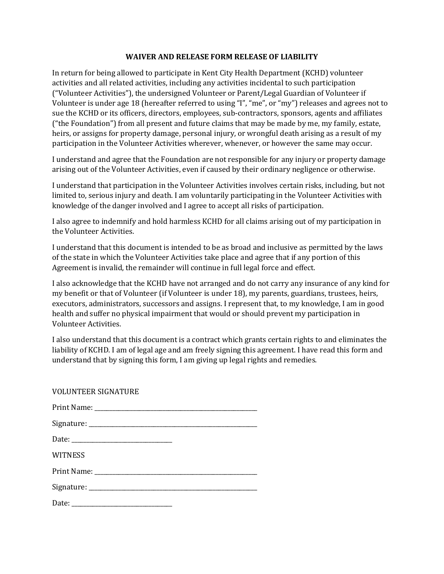#### **WAIVER AND RELEASE FORM RELEASE OF LIABILITY**

In return for being allowed to participate in Kent City Health Department (KCHD) volunteer activities and all related activities, including any activities incidental to such participation ("Volunteer Activities"), the undersigned Volunteer or Parent/Legal Guardian of Volunteer if Volunteer is under age 18 (hereafter referred to using "I", "me", or "my") releases and agrees not to sue the KCHD or its officers, directors, employees, sub-contractors, sponsors, agents and affiliates ("the Foundation") from all present and future claims that may be made by me, my family, estate, heirs, or assigns for property damage, personal injury, or wrongful death arising as a result of my participation in the Volunteer Activities wherever, whenever, or however the same may occur.

I understand and agree that the Foundation are not responsible for any injury or property damage arising out of the Volunteer Activities, even if caused by their ordinary negligence or otherwise.

I understand that participation in the Volunteer Activities involves certain risks, including, but not limited to, serious injury and death. I am voluntarily participating in the Volunteer Activities with knowledge of the danger involved and I agree to accept all risks of participation.

I also agree to indemnify and hold harmless KCHD for all claims arising out of my participation in the Volunteer Activities.

I understand that this document is intended to be as broad and inclusive as permitted by the laws of the state in which the Volunteer Activities take place and agree that if any portion of this Agreement is invalid, the remainder will continue in full legal force and effect.

I also acknowledge that the KCHD have not arranged and do not carry any insurance of any kind for my benefit or that of Volunteer (if Volunteer is under 18), my parents, guardians, trustees, heirs, executors, administrators, successors and assigns. I represent that, to my knowledge, I am in good health and suffer no physical impairment that would or should prevent my participation in Volunteer Activities.

I also understand that this document is a contract which grants certain rights to and eliminates the liability of KCHD. I am of legal age and am freely signing this agreement. I have read this form and understand that by signing this form, I am giving up legal rights and remedies.

#### VOLUNTEER SIGNATURE

| <b>WITNESS</b> |  |
|----------------|--|
|                |  |
|                |  |
|                |  |

Date: